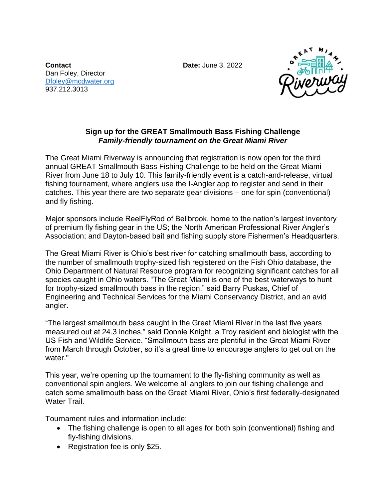**Contact Date:** June 3, 2022 Dan Foley, Director [Dfoley@mcdwater.org](mailto:Dfoley@mcdwater.org) 937.212.3013



## **Sign up for the GREAT Smallmouth Bass Fishing Challenge**  *Family-friendly tournament on the Great Miami River*

The Great Miami Riverway is announcing that registration is now open for the third annual GREAT Smallmouth Bass Fishing Challenge to be held on the Great Miami River from June 18 to July 10. This family-friendly event is a catch-and-release, virtual fishing tournament, where anglers use the I-Angler app to register and send in their catches. This year there are two separate gear divisions – one for spin (conventional) and fly fishing.

Major sponsors include ReelFlyRod of Bellbrook, home to the nation's largest inventory of premium fly fishing gear in the US; the North American Professional River Angler's Association; and Dayton-based bait and fishing supply store Fishermen's Headquarters.

The Great Miami River is Ohio's best river for catching smallmouth bass, according to the number of smallmouth trophy-sized fish registered on the Fish Ohio database, the Ohio Department of Natural Resource program for recognizing significant catches for all species caught in Ohio waters. "The Great Miami is one of the best waterways to hunt for trophy-sized smallmouth bass in the region," said Barry Puskas, Chief of Engineering and Technical Services for the Miami Conservancy District, and an avid angler.

"The largest smallmouth bass caught in the Great Miami River in the last five years measured out at 24.3 inches," said Donnie Knight, a Troy resident and biologist with the US Fish and Wildlife Service. "Smallmouth bass are plentiful in the Great Miami River from March through October, so it's a great time to encourage anglers to get out on the water."

This year, we're opening up the tournament to the fly-fishing community as well as conventional spin anglers. We welcome all anglers to join our fishing challenge and catch some smallmouth bass on the Great Miami River, Ohio's first federally-designated Water Trail.

Tournament rules and information include:

- The fishing challenge is open to all ages for both spin (conventional) fishing and fly-fishing divisions.
- Registration fee is only \$25.